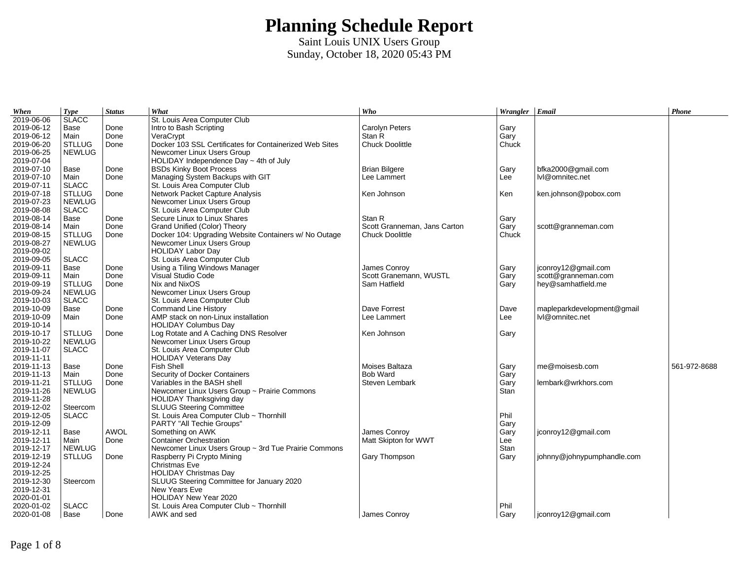| 2019-06-06<br>St. Louis Area Computer Club<br>2019-06-12<br>Done<br>Intro to Bash Scripting<br>Carolyn Peters<br>Base<br>Gary<br>2019-06-12<br>Stan R<br>Gary<br>Main<br>Done<br>VeraCrypt<br>2019-06-20<br><b>STLLUG</b><br>Docker 103 SSL Certificates for Containerized Web Sites<br><b>Chuck Doolittle</b><br>Chuck<br>Done<br>2019-06-25<br><b>NEWLUG</b><br>Newcomer Linux Users Group<br>2019-07-04<br>HOLIDAY Independence Day ~ 4th of July<br>2019-07-10<br><b>BSDs Kinky Boot Process</b><br><b>Brian Bilgere</b><br>bfka2000@gmail.com<br>Base<br>Done<br>Gary<br>2019-07-10<br>Main<br>Managing System Backups with GIT<br>Done<br>Lee Lammert<br>Lee<br>lvl@omnitec.net<br>2019-07-11<br><b>SLACC</b><br>St. Louis Area Computer Club<br>2019-07-18<br><b>STLLUG</b><br>Network Packet Capture Analysis<br>Ken Johnson<br>Done<br>Ken<br>ken.johnson@pobox.com<br>2019-07-23<br><b>NEWLUG</b><br>Newcomer Linux Users Group<br>2019-08-08<br><b>SLACC</b><br>St. Louis Area Computer Club<br>Secure Linux to Linux Shares<br>2019-08-14<br>Base<br>Done<br>Stan R<br>Gary<br>2019-08-14<br>Main<br>Done<br>Grand Unified (Color) Theory<br>Scott Granneman, Jans Carton<br>Gary<br>scott@granneman.com<br>2019-08-15<br><b>STLLUG</b><br>Docker 104: Upgrading Website Containers w/ No Outage<br><b>Chuck Doolittle</b><br>Chuck<br>Done<br>2019-08-27<br><b>NEWLUG</b><br>Newcomer Linux Users Group<br>2019-09-02<br><b>HOLIDAY Labor Day</b><br>2019-09-05<br><b>SLACC</b><br>St. Louis Area Computer Club<br>2019-09-11<br>jconroy12@gmail.com<br>Base<br>Done<br>Using a Tiling Windows Manager<br>James Conroy<br>Gary<br>2019-09-11<br>Visual Studio Code<br>Scott Granemann, WUSTL<br>Main<br>Done<br>Gary<br>scott@granneman.com<br>2019-09-19<br><b>STLLUG</b><br>Nix and NixOS<br>Done<br>Sam Hatfield<br>hey@samhatfield.me<br>Gary<br>2019-09-24<br><b>NEWLUG</b><br>Newcomer Linux Users Group<br>2019-10-03<br><b>SLACC</b><br>St. Louis Area Computer Club<br>2019-10-09<br>Done<br><b>Command Line History</b><br>Dave Forrest<br>mapleparkdevelopment@gmail<br>Base<br>Dave<br>2019-10-09<br>AMP stack on non-Linux installation<br>Done<br>Lee Lammert<br>Lee<br>lvl@omnitec.net<br>Main<br>2019-10-14<br><b>HOLIDAY Columbus Day</b><br>2019-10-17<br>Log Rotate and A Caching DNS Resolver<br><b>STLLUG</b><br>Ken Johnson<br>Done<br>Gary<br>2019-10-22<br>Newcomer Linux Users Group<br><b>NEWLUG</b><br>2019-11-07<br><b>SLACC</b><br>St. Louis Area Computer Club<br>2019-11-11<br><b>HOLIDAY Veterans Day</b><br>2019-11-13<br><b>Fish Shell</b><br>Moises Baltaza<br>me@moisesb.com<br>561-972-8688<br>Base<br>Done<br>Gary<br>2019-11-13<br>Security of Docker Containers<br><b>Bob Ward</b><br>Main<br>Done<br>Gary<br>Variables in the BASH shell<br>2019-11-21<br><b>STLLUG</b><br>Steven Lembark<br>lembark@wrkhors.com<br>Done<br>Gary<br>2019-11-26<br>Newcomer Linux Users Group ~ Prairie Commons<br><b>NEWLUG</b><br>Stan<br>2019-11-28<br>HOLIDAY Thanksgiving day<br>2019-12-02<br><b>SLUUG Steering Committee</b><br>Steercom<br>Phil<br>2019-12-05<br>St. Louis Area Computer Club ~ Thornhill<br><b>SLACC</b><br>2019-12-09<br>PARTY "All Techie Groups"<br>Gary<br>2019-12-11<br><b>AWOL</b><br>Something on AWK<br>James Conrov<br>Gary<br>jconroy12@gmail.com<br>Base<br><b>Container Orchestration</b><br>2019-12-11<br>Matt Skipton for WWT<br>Done<br>Lee<br>Main<br>2019-12-17<br><b>NEWLUG</b><br>Newcomer Linux Users Group ~ 3rd Tue Prairie Commons<br>Stan<br>2019-12-19<br><b>STLLUG</b><br>Raspberry Pi Crypto Mining<br>Gary Thompson<br>Done<br>Gary<br>johnny@johnypumphandle.com<br>2019-12-24<br>Christmas Eve<br>2019-12-25<br><b>HOLIDAY Christmas Day</b><br>2019-12-30<br>SLUUG Steering Committee for January 2020<br>Steercom<br>2019-12-31<br>New Years Eve<br>2020-01-01<br>HOLIDAY New Year 2020<br>2020-01-02<br><b>SLACC</b><br>Phil<br>St. Louis Area Computer Club ~ Thornhill<br>2020-01-08<br>Base<br>AWK and sed<br>James Conroy<br>Gary<br>jconroy12@gmail.com<br>Done | When | <b>Type</b>  | <b>Status</b> | What | Who | Wrangler Email | Phone |
|---------------------------------------------------------------------------------------------------------------------------------------------------------------------------------------------------------------------------------------------------------------------------------------------------------------------------------------------------------------------------------------------------------------------------------------------------------------------------------------------------------------------------------------------------------------------------------------------------------------------------------------------------------------------------------------------------------------------------------------------------------------------------------------------------------------------------------------------------------------------------------------------------------------------------------------------------------------------------------------------------------------------------------------------------------------------------------------------------------------------------------------------------------------------------------------------------------------------------------------------------------------------------------------------------------------------------------------------------------------------------------------------------------------------------------------------------------------------------------------------------------------------------------------------------------------------------------------------------------------------------------------------------------------------------------------------------------------------------------------------------------------------------------------------------------------------------------------------------------------------------------------------------------------------------------------------------------------------------------------------------------------------------------------------------------------------------------------------------------------------------------------------------------------------------------------------------------------------------------------------------------------------------------------------------------------------------------------------------------------------------------------------------------------------------------------------------------------------------------------------------------------------------------------------------------------------------------------------------------------------------------------------------------------------------------------------------------------------------------------------------------------------------------------------------------------------------------------------------------------------------------------------------------------------------------------------------------------------------------------------------------------------------------------------------------------------------------------------------------------------------------------------------------------------------------------------------------------------------------------------------------------------------------------------------------------------------------------------------------------------------------------------------------------------------------------------------------------------------------------------------------------------------------------------------------------------------------------------------------------------------------------------------------------------------------------------------------------------------------------------------------------------------------------------------------------------------------------------------------------------------------------------------------------------------------------------------------------------------------------------------------------------------------------------------------------------|------|--------------|---------------|------|-----|----------------|-------|
|                                                                                                                                                                                                                                                                                                                                                                                                                                                                                                                                                                                                                                                                                                                                                                                                                                                                                                                                                                                                                                                                                                                                                                                                                                                                                                                                                                                                                                                                                                                                                                                                                                                                                                                                                                                                                                                                                                                                                                                                                                                                                                                                                                                                                                                                                                                                                                                                                                                                                                                                                                                                                                                                                                                                                                                                                                                                                                                                                                                                                                                                                                                                                                                                                                                                                                                                                                                                                                                                                                                                                                                                                                                                                                                                                                                                                                                                                                                                                                                                                                                                     |      | <b>SLACC</b> |               |      |     |                |       |
|                                                                                                                                                                                                                                                                                                                                                                                                                                                                                                                                                                                                                                                                                                                                                                                                                                                                                                                                                                                                                                                                                                                                                                                                                                                                                                                                                                                                                                                                                                                                                                                                                                                                                                                                                                                                                                                                                                                                                                                                                                                                                                                                                                                                                                                                                                                                                                                                                                                                                                                                                                                                                                                                                                                                                                                                                                                                                                                                                                                                                                                                                                                                                                                                                                                                                                                                                                                                                                                                                                                                                                                                                                                                                                                                                                                                                                                                                                                                                                                                                                                                     |      |              |               |      |     |                |       |
|                                                                                                                                                                                                                                                                                                                                                                                                                                                                                                                                                                                                                                                                                                                                                                                                                                                                                                                                                                                                                                                                                                                                                                                                                                                                                                                                                                                                                                                                                                                                                                                                                                                                                                                                                                                                                                                                                                                                                                                                                                                                                                                                                                                                                                                                                                                                                                                                                                                                                                                                                                                                                                                                                                                                                                                                                                                                                                                                                                                                                                                                                                                                                                                                                                                                                                                                                                                                                                                                                                                                                                                                                                                                                                                                                                                                                                                                                                                                                                                                                                                                     |      |              |               |      |     |                |       |
|                                                                                                                                                                                                                                                                                                                                                                                                                                                                                                                                                                                                                                                                                                                                                                                                                                                                                                                                                                                                                                                                                                                                                                                                                                                                                                                                                                                                                                                                                                                                                                                                                                                                                                                                                                                                                                                                                                                                                                                                                                                                                                                                                                                                                                                                                                                                                                                                                                                                                                                                                                                                                                                                                                                                                                                                                                                                                                                                                                                                                                                                                                                                                                                                                                                                                                                                                                                                                                                                                                                                                                                                                                                                                                                                                                                                                                                                                                                                                                                                                                                                     |      |              |               |      |     |                |       |
|                                                                                                                                                                                                                                                                                                                                                                                                                                                                                                                                                                                                                                                                                                                                                                                                                                                                                                                                                                                                                                                                                                                                                                                                                                                                                                                                                                                                                                                                                                                                                                                                                                                                                                                                                                                                                                                                                                                                                                                                                                                                                                                                                                                                                                                                                                                                                                                                                                                                                                                                                                                                                                                                                                                                                                                                                                                                                                                                                                                                                                                                                                                                                                                                                                                                                                                                                                                                                                                                                                                                                                                                                                                                                                                                                                                                                                                                                                                                                                                                                                                                     |      |              |               |      |     |                |       |
|                                                                                                                                                                                                                                                                                                                                                                                                                                                                                                                                                                                                                                                                                                                                                                                                                                                                                                                                                                                                                                                                                                                                                                                                                                                                                                                                                                                                                                                                                                                                                                                                                                                                                                                                                                                                                                                                                                                                                                                                                                                                                                                                                                                                                                                                                                                                                                                                                                                                                                                                                                                                                                                                                                                                                                                                                                                                                                                                                                                                                                                                                                                                                                                                                                                                                                                                                                                                                                                                                                                                                                                                                                                                                                                                                                                                                                                                                                                                                                                                                                                                     |      |              |               |      |     |                |       |
|                                                                                                                                                                                                                                                                                                                                                                                                                                                                                                                                                                                                                                                                                                                                                                                                                                                                                                                                                                                                                                                                                                                                                                                                                                                                                                                                                                                                                                                                                                                                                                                                                                                                                                                                                                                                                                                                                                                                                                                                                                                                                                                                                                                                                                                                                                                                                                                                                                                                                                                                                                                                                                                                                                                                                                                                                                                                                                                                                                                                                                                                                                                                                                                                                                                                                                                                                                                                                                                                                                                                                                                                                                                                                                                                                                                                                                                                                                                                                                                                                                                                     |      |              |               |      |     |                |       |
|                                                                                                                                                                                                                                                                                                                                                                                                                                                                                                                                                                                                                                                                                                                                                                                                                                                                                                                                                                                                                                                                                                                                                                                                                                                                                                                                                                                                                                                                                                                                                                                                                                                                                                                                                                                                                                                                                                                                                                                                                                                                                                                                                                                                                                                                                                                                                                                                                                                                                                                                                                                                                                                                                                                                                                                                                                                                                                                                                                                                                                                                                                                                                                                                                                                                                                                                                                                                                                                                                                                                                                                                                                                                                                                                                                                                                                                                                                                                                                                                                                                                     |      |              |               |      |     |                |       |
|                                                                                                                                                                                                                                                                                                                                                                                                                                                                                                                                                                                                                                                                                                                                                                                                                                                                                                                                                                                                                                                                                                                                                                                                                                                                                                                                                                                                                                                                                                                                                                                                                                                                                                                                                                                                                                                                                                                                                                                                                                                                                                                                                                                                                                                                                                                                                                                                                                                                                                                                                                                                                                                                                                                                                                                                                                                                                                                                                                                                                                                                                                                                                                                                                                                                                                                                                                                                                                                                                                                                                                                                                                                                                                                                                                                                                                                                                                                                                                                                                                                                     |      |              |               |      |     |                |       |
|                                                                                                                                                                                                                                                                                                                                                                                                                                                                                                                                                                                                                                                                                                                                                                                                                                                                                                                                                                                                                                                                                                                                                                                                                                                                                                                                                                                                                                                                                                                                                                                                                                                                                                                                                                                                                                                                                                                                                                                                                                                                                                                                                                                                                                                                                                                                                                                                                                                                                                                                                                                                                                                                                                                                                                                                                                                                                                                                                                                                                                                                                                                                                                                                                                                                                                                                                                                                                                                                                                                                                                                                                                                                                                                                                                                                                                                                                                                                                                                                                                                                     |      |              |               |      |     |                |       |
|                                                                                                                                                                                                                                                                                                                                                                                                                                                                                                                                                                                                                                                                                                                                                                                                                                                                                                                                                                                                                                                                                                                                                                                                                                                                                                                                                                                                                                                                                                                                                                                                                                                                                                                                                                                                                                                                                                                                                                                                                                                                                                                                                                                                                                                                                                                                                                                                                                                                                                                                                                                                                                                                                                                                                                                                                                                                                                                                                                                                                                                                                                                                                                                                                                                                                                                                                                                                                                                                                                                                                                                                                                                                                                                                                                                                                                                                                                                                                                                                                                                                     |      |              |               |      |     |                |       |
|                                                                                                                                                                                                                                                                                                                                                                                                                                                                                                                                                                                                                                                                                                                                                                                                                                                                                                                                                                                                                                                                                                                                                                                                                                                                                                                                                                                                                                                                                                                                                                                                                                                                                                                                                                                                                                                                                                                                                                                                                                                                                                                                                                                                                                                                                                                                                                                                                                                                                                                                                                                                                                                                                                                                                                                                                                                                                                                                                                                                                                                                                                                                                                                                                                                                                                                                                                                                                                                                                                                                                                                                                                                                                                                                                                                                                                                                                                                                                                                                                                                                     |      |              |               |      |     |                |       |
|                                                                                                                                                                                                                                                                                                                                                                                                                                                                                                                                                                                                                                                                                                                                                                                                                                                                                                                                                                                                                                                                                                                                                                                                                                                                                                                                                                                                                                                                                                                                                                                                                                                                                                                                                                                                                                                                                                                                                                                                                                                                                                                                                                                                                                                                                                                                                                                                                                                                                                                                                                                                                                                                                                                                                                                                                                                                                                                                                                                                                                                                                                                                                                                                                                                                                                                                                                                                                                                                                                                                                                                                                                                                                                                                                                                                                                                                                                                                                                                                                                                                     |      |              |               |      |     |                |       |
|                                                                                                                                                                                                                                                                                                                                                                                                                                                                                                                                                                                                                                                                                                                                                                                                                                                                                                                                                                                                                                                                                                                                                                                                                                                                                                                                                                                                                                                                                                                                                                                                                                                                                                                                                                                                                                                                                                                                                                                                                                                                                                                                                                                                                                                                                                                                                                                                                                                                                                                                                                                                                                                                                                                                                                                                                                                                                                                                                                                                                                                                                                                                                                                                                                                                                                                                                                                                                                                                                                                                                                                                                                                                                                                                                                                                                                                                                                                                                                                                                                                                     |      |              |               |      |     |                |       |
|                                                                                                                                                                                                                                                                                                                                                                                                                                                                                                                                                                                                                                                                                                                                                                                                                                                                                                                                                                                                                                                                                                                                                                                                                                                                                                                                                                                                                                                                                                                                                                                                                                                                                                                                                                                                                                                                                                                                                                                                                                                                                                                                                                                                                                                                                                                                                                                                                                                                                                                                                                                                                                                                                                                                                                                                                                                                                                                                                                                                                                                                                                                                                                                                                                                                                                                                                                                                                                                                                                                                                                                                                                                                                                                                                                                                                                                                                                                                                                                                                                                                     |      |              |               |      |     |                |       |
|                                                                                                                                                                                                                                                                                                                                                                                                                                                                                                                                                                                                                                                                                                                                                                                                                                                                                                                                                                                                                                                                                                                                                                                                                                                                                                                                                                                                                                                                                                                                                                                                                                                                                                                                                                                                                                                                                                                                                                                                                                                                                                                                                                                                                                                                                                                                                                                                                                                                                                                                                                                                                                                                                                                                                                                                                                                                                                                                                                                                                                                                                                                                                                                                                                                                                                                                                                                                                                                                                                                                                                                                                                                                                                                                                                                                                                                                                                                                                                                                                                                                     |      |              |               |      |     |                |       |
|                                                                                                                                                                                                                                                                                                                                                                                                                                                                                                                                                                                                                                                                                                                                                                                                                                                                                                                                                                                                                                                                                                                                                                                                                                                                                                                                                                                                                                                                                                                                                                                                                                                                                                                                                                                                                                                                                                                                                                                                                                                                                                                                                                                                                                                                                                                                                                                                                                                                                                                                                                                                                                                                                                                                                                                                                                                                                                                                                                                                                                                                                                                                                                                                                                                                                                                                                                                                                                                                                                                                                                                                                                                                                                                                                                                                                                                                                                                                                                                                                                                                     |      |              |               |      |     |                |       |
|                                                                                                                                                                                                                                                                                                                                                                                                                                                                                                                                                                                                                                                                                                                                                                                                                                                                                                                                                                                                                                                                                                                                                                                                                                                                                                                                                                                                                                                                                                                                                                                                                                                                                                                                                                                                                                                                                                                                                                                                                                                                                                                                                                                                                                                                                                                                                                                                                                                                                                                                                                                                                                                                                                                                                                                                                                                                                                                                                                                                                                                                                                                                                                                                                                                                                                                                                                                                                                                                                                                                                                                                                                                                                                                                                                                                                                                                                                                                                                                                                                                                     |      |              |               |      |     |                |       |
|                                                                                                                                                                                                                                                                                                                                                                                                                                                                                                                                                                                                                                                                                                                                                                                                                                                                                                                                                                                                                                                                                                                                                                                                                                                                                                                                                                                                                                                                                                                                                                                                                                                                                                                                                                                                                                                                                                                                                                                                                                                                                                                                                                                                                                                                                                                                                                                                                                                                                                                                                                                                                                                                                                                                                                                                                                                                                                                                                                                                                                                                                                                                                                                                                                                                                                                                                                                                                                                                                                                                                                                                                                                                                                                                                                                                                                                                                                                                                                                                                                                                     |      |              |               |      |     |                |       |
|                                                                                                                                                                                                                                                                                                                                                                                                                                                                                                                                                                                                                                                                                                                                                                                                                                                                                                                                                                                                                                                                                                                                                                                                                                                                                                                                                                                                                                                                                                                                                                                                                                                                                                                                                                                                                                                                                                                                                                                                                                                                                                                                                                                                                                                                                                                                                                                                                                                                                                                                                                                                                                                                                                                                                                                                                                                                                                                                                                                                                                                                                                                                                                                                                                                                                                                                                                                                                                                                                                                                                                                                                                                                                                                                                                                                                                                                                                                                                                                                                                                                     |      |              |               |      |     |                |       |
|                                                                                                                                                                                                                                                                                                                                                                                                                                                                                                                                                                                                                                                                                                                                                                                                                                                                                                                                                                                                                                                                                                                                                                                                                                                                                                                                                                                                                                                                                                                                                                                                                                                                                                                                                                                                                                                                                                                                                                                                                                                                                                                                                                                                                                                                                                                                                                                                                                                                                                                                                                                                                                                                                                                                                                                                                                                                                                                                                                                                                                                                                                                                                                                                                                                                                                                                                                                                                                                                                                                                                                                                                                                                                                                                                                                                                                                                                                                                                                                                                                                                     |      |              |               |      |     |                |       |
|                                                                                                                                                                                                                                                                                                                                                                                                                                                                                                                                                                                                                                                                                                                                                                                                                                                                                                                                                                                                                                                                                                                                                                                                                                                                                                                                                                                                                                                                                                                                                                                                                                                                                                                                                                                                                                                                                                                                                                                                                                                                                                                                                                                                                                                                                                                                                                                                                                                                                                                                                                                                                                                                                                                                                                                                                                                                                                                                                                                                                                                                                                                                                                                                                                                                                                                                                                                                                                                                                                                                                                                                                                                                                                                                                                                                                                                                                                                                                                                                                                                                     |      |              |               |      |     |                |       |
|                                                                                                                                                                                                                                                                                                                                                                                                                                                                                                                                                                                                                                                                                                                                                                                                                                                                                                                                                                                                                                                                                                                                                                                                                                                                                                                                                                                                                                                                                                                                                                                                                                                                                                                                                                                                                                                                                                                                                                                                                                                                                                                                                                                                                                                                                                                                                                                                                                                                                                                                                                                                                                                                                                                                                                                                                                                                                                                                                                                                                                                                                                                                                                                                                                                                                                                                                                                                                                                                                                                                                                                                                                                                                                                                                                                                                                                                                                                                                                                                                                                                     |      |              |               |      |     |                |       |
|                                                                                                                                                                                                                                                                                                                                                                                                                                                                                                                                                                                                                                                                                                                                                                                                                                                                                                                                                                                                                                                                                                                                                                                                                                                                                                                                                                                                                                                                                                                                                                                                                                                                                                                                                                                                                                                                                                                                                                                                                                                                                                                                                                                                                                                                                                                                                                                                                                                                                                                                                                                                                                                                                                                                                                                                                                                                                                                                                                                                                                                                                                                                                                                                                                                                                                                                                                                                                                                                                                                                                                                                                                                                                                                                                                                                                                                                                                                                                                                                                                                                     |      |              |               |      |     |                |       |
|                                                                                                                                                                                                                                                                                                                                                                                                                                                                                                                                                                                                                                                                                                                                                                                                                                                                                                                                                                                                                                                                                                                                                                                                                                                                                                                                                                                                                                                                                                                                                                                                                                                                                                                                                                                                                                                                                                                                                                                                                                                                                                                                                                                                                                                                                                                                                                                                                                                                                                                                                                                                                                                                                                                                                                                                                                                                                                                                                                                                                                                                                                                                                                                                                                                                                                                                                                                                                                                                                                                                                                                                                                                                                                                                                                                                                                                                                                                                                                                                                                                                     |      |              |               |      |     |                |       |
|                                                                                                                                                                                                                                                                                                                                                                                                                                                                                                                                                                                                                                                                                                                                                                                                                                                                                                                                                                                                                                                                                                                                                                                                                                                                                                                                                                                                                                                                                                                                                                                                                                                                                                                                                                                                                                                                                                                                                                                                                                                                                                                                                                                                                                                                                                                                                                                                                                                                                                                                                                                                                                                                                                                                                                                                                                                                                                                                                                                                                                                                                                                                                                                                                                                                                                                                                                                                                                                                                                                                                                                                                                                                                                                                                                                                                                                                                                                                                                                                                                                                     |      |              |               |      |     |                |       |
|                                                                                                                                                                                                                                                                                                                                                                                                                                                                                                                                                                                                                                                                                                                                                                                                                                                                                                                                                                                                                                                                                                                                                                                                                                                                                                                                                                                                                                                                                                                                                                                                                                                                                                                                                                                                                                                                                                                                                                                                                                                                                                                                                                                                                                                                                                                                                                                                                                                                                                                                                                                                                                                                                                                                                                                                                                                                                                                                                                                                                                                                                                                                                                                                                                                                                                                                                                                                                                                                                                                                                                                                                                                                                                                                                                                                                                                                                                                                                                                                                                                                     |      |              |               |      |     |                |       |
|                                                                                                                                                                                                                                                                                                                                                                                                                                                                                                                                                                                                                                                                                                                                                                                                                                                                                                                                                                                                                                                                                                                                                                                                                                                                                                                                                                                                                                                                                                                                                                                                                                                                                                                                                                                                                                                                                                                                                                                                                                                                                                                                                                                                                                                                                                                                                                                                                                                                                                                                                                                                                                                                                                                                                                                                                                                                                                                                                                                                                                                                                                                                                                                                                                                                                                                                                                                                                                                                                                                                                                                                                                                                                                                                                                                                                                                                                                                                                                                                                                                                     |      |              |               |      |     |                |       |
|                                                                                                                                                                                                                                                                                                                                                                                                                                                                                                                                                                                                                                                                                                                                                                                                                                                                                                                                                                                                                                                                                                                                                                                                                                                                                                                                                                                                                                                                                                                                                                                                                                                                                                                                                                                                                                                                                                                                                                                                                                                                                                                                                                                                                                                                                                                                                                                                                                                                                                                                                                                                                                                                                                                                                                                                                                                                                                                                                                                                                                                                                                                                                                                                                                                                                                                                                                                                                                                                                                                                                                                                                                                                                                                                                                                                                                                                                                                                                                                                                                                                     |      |              |               |      |     |                |       |
|                                                                                                                                                                                                                                                                                                                                                                                                                                                                                                                                                                                                                                                                                                                                                                                                                                                                                                                                                                                                                                                                                                                                                                                                                                                                                                                                                                                                                                                                                                                                                                                                                                                                                                                                                                                                                                                                                                                                                                                                                                                                                                                                                                                                                                                                                                                                                                                                                                                                                                                                                                                                                                                                                                                                                                                                                                                                                                                                                                                                                                                                                                                                                                                                                                                                                                                                                                                                                                                                                                                                                                                                                                                                                                                                                                                                                                                                                                                                                                                                                                                                     |      |              |               |      |     |                |       |
|                                                                                                                                                                                                                                                                                                                                                                                                                                                                                                                                                                                                                                                                                                                                                                                                                                                                                                                                                                                                                                                                                                                                                                                                                                                                                                                                                                                                                                                                                                                                                                                                                                                                                                                                                                                                                                                                                                                                                                                                                                                                                                                                                                                                                                                                                                                                                                                                                                                                                                                                                                                                                                                                                                                                                                                                                                                                                                                                                                                                                                                                                                                                                                                                                                                                                                                                                                                                                                                                                                                                                                                                                                                                                                                                                                                                                                                                                                                                                                                                                                                                     |      |              |               |      |     |                |       |
|                                                                                                                                                                                                                                                                                                                                                                                                                                                                                                                                                                                                                                                                                                                                                                                                                                                                                                                                                                                                                                                                                                                                                                                                                                                                                                                                                                                                                                                                                                                                                                                                                                                                                                                                                                                                                                                                                                                                                                                                                                                                                                                                                                                                                                                                                                                                                                                                                                                                                                                                                                                                                                                                                                                                                                                                                                                                                                                                                                                                                                                                                                                                                                                                                                                                                                                                                                                                                                                                                                                                                                                                                                                                                                                                                                                                                                                                                                                                                                                                                                                                     |      |              |               |      |     |                |       |
|                                                                                                                                                                                                                                                                                                                                                                                                                                                                                                                                                                                                                                                                                                                                                                                                                                                                                                                                                                                                                                                                                                                                                                                                                                                                                                                                                                                                                                                                                                                                                                                                                                                                                                                                                                                                                                                                                                                                                                                                                                                                                                                                                                                                                                                                                                                                                                                                                                                                                                                                                                                                                                                                                                                                                                                                                                                                                                                                                                                                                                                                                                                                                                                                                                                                                                                                                                                                                                                                                                                                                                                                                                                                                                                                                                                                                                                                                                                                                                                                                                                                     |      |              |               |      |     |                |       |
|                                                                                                                                                                                                                                                                                                                                                                                                                                                                                                                                                                                                                                                                                                                                                                                                                                                                                                                                                                                                                                                                                                                                                                                                                                                                                                                                                                                                                                                                                                                                                                                                                                                                                                                                                                                                                                                                                                                                                                                                                                                                                                                                                                                                                                                                                                                                                                                                                                                                                                                                                                                                                                                                                                                                                                                                                                                                                                                                                                                                                                                                                                                                                                                                                                                                                                                                                                                                                                                                                                                                                                                                                                                                                                                                                                                                                                                                                                                                                                                                                                                                     |      |              |               |      |     |                |       |
|                                                                                                                                                                                                                                                                                                                                                                                                                                                                                                                                                                                                                                                                                                                                                                                                                                                                                                                                                                                                                                                                                                                                                                                                                                                                                                                                                                                                                                                                                                                                                                                                                                                                                                                                                                                                                                                                                                                                                                                                                                                                                                                                                                                                                                                                                                                                                                                                                                                                                                                                                                                                                                                                                                                                                                                                                                                                                                                                                                                                                                                                                                                                                                                                                                                                                                                                                                                                                                                                                                                                                                                                                                                                                                                                                                                                                                                                                                                                                                                                                                                                     |      |              |               |      |     |                |       |
|                                                                                                                                                                                                                                                                                                                                                                                                                                                                                                                                                                                                                                                                                                                                                                                                                                                                                                                                                                                                                                                                                                                                                                                                                                                                                                                                                                                                                                                                                                                                                                                                                                                                                                                                                                                                                                                                                                                                                                                                                                                                                                                                                                                                                                                                                                                                                                                                                                                                                                                                                                                                                                                                                                                                                                                                                                                                                                                                                                                                                                                                                                                                                                                                                                                                                                                                                                                                                                                                                                                                                                                                                                                                                                                                                                                                                                                                                                                                                                                                                                                                     |      |              |               |      |     |                |       |
|                                                                                                                                                                                                                                                                                                                                                                                                                                                                                                                                                                                                                                                                                                                                                                                                                                                                                                                                                                                                                                                                                                                                                                                                                                                                                                                                                                                                                                                                                                                                                                                                                                                                                                                                                                                                                                                                                                                                                                                                                                                                                                                                                                                                                                                                                                                                                                                                                                                                                                                                                                                                                                                                                                                                                                                                                                                                                                                                                                                                                                                                                                                                                                                                                                                                                                                                                                                                                                                                                                                                                                                                                                                                                                                                                                                                                                                                                                                                                                                                                                                                     |      |              |               |      |     |                |       |
|                                                                                                                                                                                                                                                                                                                                                                                                                                                                                                                                                                                                                                                                                                                                                                                                                                                                                                                                                                                                                                                                                                                                                                                                                                                                                                                                                                                                                                                                                                                                                                                                                                                                                                                                                                                                                                                                                                                                                                                                                                                                                                                                                                                                                                                                                                                                                                                                                                                                                                                                                                                                                                                                                                                                                                                                                                                                                                                                                                                                                                                                                                                                                                                                                                                                                                                                                                                                                                                                                                                                                                                                                                                                                                                                                                                                                                                                                                                                                                                                                                                                     |      |              |               |      |     |                |       |
|                                                                                                                                                                                                                                                                                                                                                                                                                                                                                                                                                                                                                                                                                                                                                                                                                                                                                                                                                                                                                                                                                                                                                                                                                                                                                                                                                                                                                                                                                                                                                                                                                                                                                                                                                                                                                                                                                                                                                                                                                                                                                                                                                                                                                                                                                                                                                                                                                                                                                                                                                                                                                                                                                                                                                                                                                                                                                                                                                                                                                                                                                                                                                                                                                                                                                                                                                                                                                                                                                                                                                                                                                                                                                                                                                                                                                                                                                                                                                                                                                                                                     |      |              |               |      |     |                |       |
|                                                                                                                                                                                                                                                                                                                                                                                                                                                                                                                                                                                                                                                                                                                                                                                                                                                                                                                                                                                                                                                                                                                                                                                                                                                                                                                                                                                                                                                                                                                                                                                                                                                                                                                                                                                                                                                                                                                                                                                                                                                                                                                                                                                                                                                                                                                                                                                                                                                                                                                                                                                                                                                                                                                                                                                                                                                                                                                                                                                                                                                                                                                                                                                                                                                                                                                                                                                                                                                                                                                                                                                                                                                                                                                                                                                                                                                                                                                                                                                                                                                                     |      |              |               |      |     |                |       |
|                                                                                                                                                                                                                                                                                                                                                                                                                                                                                                                                                                                                                                                                                                                                                                                                                                                                                                                                                                                                                                                                                                                                                                                                                                                                                                                                                                                                                                                                                                                                                                                                                                                                                                                                                                                                                                                                                                                                                                                                                                                                                                                                                                                                                                                                                                                                                                                                                                                                                                                                                                                                                                                                                                                                                                                                                                                                                                                                                                                                                                                                                                                                                                                                                                                                                                                                                                                                                                                                                                                                                                                                                                                                                                                                                                                                                                                                                                                                                                                                                                                                     |      |              |               |      |     |                |       |
|                                                                                                                                                                                                                                                                                                                                                                                                                                                                                                                                                                                                                                                                                                                                                                                                                                                                                                                                                                                                                                                                                                                                                                                                                                                                                                                                                                                                                                                                                                                                                                                                                                                                                                                                                                                                                                                                                                                                                                                                                                                                                                                                                                                                                                                                                                                                                                                                                                                                                                                                                                                                                                                                                                                                                                                                                                                                                                                                                                                                                                                                                                                                                                                                                                                                                                                                                                                                                                                                                                                                                                                                                                                                                                                                                                                                                                                                                                                                                                                                                                                                     |      |              |               |      |     |                |       |
|                                                                                                                                                                                                                                                                                                                                                                                                                                                                                                                                                                                                                                                                                                                                                                                                                                                                                                                                                                                                                                                                                                                                                                                                                                                                                                                                                                                                                                                                                                                                                                                                                                                                                                                                                                                                                                                                                                                                                                                                                                                                                                                                                                                                                                                                                                                                                                                                                                                                                                                                                                                                                                                                                                                                                                                                                                                                                                                                                                                                                                                                                                                                                                                                                                                                                                                                                                                                                                                                                                                                                                                                                                                                                                                                                                                                                                                                                                                                                                                                                                                                     |      |              |               |      |     |                |       |
|                                                                                                                                                                                                                                                                                                                                                                                                                                                                                                                                                                                                                                                                                                                                                                                                                                                                                                                                                                                                                                                                                                                                                                                                                                                                                                                                                                                                                                                                                                                                                                                                                                                                                                                                                                                                                                                                                                                                                                                                                                                                                                                                                                                                                                                                                                                                                                                                                                                                                                                                                                                                                                                                                                                                                                                                                                                                                                                                                                                                                                                                                                                                                                                                                                                                                                                                                                                                                                                                                                                                                                                                                                                                                                                                                                                                                                                                                                                                                                                                                                                                     |      |              |               |      |     |                |       |
|                                                                                                                                                                                                                                                                                                                                                                                                                                                                                                                                                                                                                                                                                                                                                                                                                                                                                                                                                                                                                                                                                                                                                                                                                                                                                                                                                                                                                                                                                                                                                                                                                                                                                                                                                                                                                                                                                                                                                                                                                                                                                                                                                                                                                                                                                                                                                                                                                                                                                                                                                                                                                                                                                                                                                                                                                                                                                                                                                                                                                                                                                                                                                                                                                                                                                                                                                                                                                                                                                                                                                                                                                                                                                                                                                                                                                                                                                                                                                                                                                                                                     |      |              |               |      |     |                |       |
|                                                                                                                                                                                                                                                                                                                                                                                                                                                                                                                                                                                                                                                                                                                                                                                                                                                                                                                                                                                                                                                                                                                                                                                                                                                                                                                                                                                                                                                                                                                                                                                                                                                                                                                                                                                                                                                                                                                                                                                                                                                                                                                                                                                                                                                                                                                                                                                                                                                                                                                                                                                                                                                                                                                                                                                                                                                                                                                                                                                                                                                                                                                                                                                                                                                                                                                                                                                                                                                                                                                                                                                                                                                                                                                                                                                                                                                                                                                                                                                                                                                                     |      |              |               |      |     |                |       |
|                                                                                                                                                                                                                                                                                                                                                                                                                                                                                                                                                                                                                                                                                                                                                                                                                                                                                                                                                                                                                                                                                                                                                                                                                                                                                                                                                                                                                                                                                                                                                                                                                                                                                                                                                                                                                                                                                                                                                                                                                                                                                                                                                                                                                                                                                                                                                                                                                                                                                                                                                                                                                                                                                                                                                                                                                                                                                                                                                                                                                                                                                                                                                                                                                                                                                                                                                                                                                                                                                                                                                                                                                                                                                                                                                                                                                                                                                                                                                                                                                                                                     |      |              |               |      |     |                |       |
|                                                                                                                                                                                                                                                                                                                                                                                                                                                                                                                                                                                                                                                                                                                                                                                                                                                                                                                                                                                                                                                                                                                                                                                                                                                                                                                                                                                                                                                                                                                                                                                                                                                                                                                                                                                                                                                                                                                                                                                                                                                                                                                                                                                                                                                                                                                                                                                                                                                                                                                                                                                                                                                                                                                                                                                                                                                                                                                                                                                                                                                                                                                                                                                                                                                                                                                                                                                                                                                                                                                                                                                                                                                                                                                                                                                                                                                                                                                                                                                                                                                                     |      |              |               |      |     |                |       |
|                                                                                                                                                                                                                                                                                                                                                                                                                                                                                                                                                                                                                                                                                                                                                                                                                                                                                                                                                                                                                                                                                                                                                                                                                                                                                                                                                                                                                                                                                                                                                                                                                                                                                                                                                                                                                                                                                                                                                                                                                                                                                                                                                                                                                                                                                                                                                                                                                                                                                                                                                                                                                                                                                                                                                                                                                                                                                                                                                                                                                                                                                                                                                                                                                                                                                                                                                                                                                                                                                                                                                                                                                                                                                                                                                                                                                                                                                                                                                                                                                                                                     |      |              |               |      |     |                |       |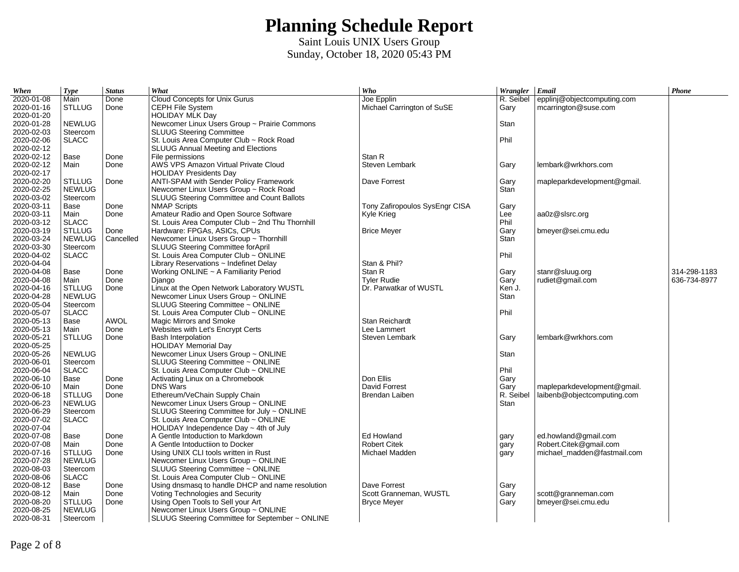| When                     | <b>Type</b>              | <b>Status</b> | What                                                               | Who                            | Wrangler Email |                             | $\boldsymbol{Phone}$ |
|--------------------------|--------------------------|---------------|--------------------------------------------------------------------|--------------------------------|----------------|-----------------------------|----------------------|
| 2020-01-08               | Main                     | Done          | Cloud Concepts for Unix Gurus                                      | Joe Epplin                     | R. Seibel      | epplinj@objectcomputing.com |                      |
| 2020-01-16               | <b>STLLUG</b>            | Done          | <b>CEPH File System</b>                                            | Michael Carrington of SuSE     | Gary           | mcarrington@suse.com        |                      |
| 2020-01-20               |                          |               | HOLIDAY MLK Day                                                    |                                |                |                             |                      |
| 2020-01-28               | <b>NEWLUG</b>            |               | Newcomer Linux Users Group ~ Prairie Commons                       |                                | Stan           |                             |                      |
| 2020-02-03               | Steercom                 |               | <b>SLUUG Steering Committee</b>                                    |                                |                |                             |                      |
| 2020-02-06               | <b>SLACC</b>             |               | St. Louis Area Computer Club ~ Rock Road                           |                                | Phil           |                             |                      |
| 2020-02-12               |                          |               | SLUUG Annual Meeting and Elections                                 |                                |                |                             |                      |
| 2020-02-12               | Base                     | Done          | File permissions                                                   | Stan R                         |                |                             |                      |
| 2020-02-12               | Main                     | Done          | AWS VPS Amazon Virtual Private Cloud                               | Steven Lembark                 | Gary           | lembark@wrkhors.com         |                      |
| 2020-02-17               |                          |               | <b>HOLIDAY Presidents Day</b>                                      |                                |                |                             |                      |
| 2020-02-20               | <b>STLLUG</b>            | Done          | ANTI-SPAM with Sender Policy Framework                             | Dave Forrest                   | Gary           | mapleparkdevelopment@gmail. |                      |
| 2020-02-25               | <b>NEWLUG</b>            |               | Newcomer Linux Users Group ~ Rock Road                             |                                | Stan           |                             |                      |
| 2020-03-02               | Steercom                 |               | SLUUG Steering Committee and Count Ballots                         |                                |                |                             |                      |
| 2020-03-11               | Base                     | Done          | <b>NMAP Scripts</b>                                                | Tony Zafiropoulos SysEngr CISA | Gary           |                             |                      |
| 2020-03-11               | Main                     | Done          | Amateur Radio and Open Source Software                             | Kyle Krieg                     | Lee            | aa0z@slsrc.org              |                      |
| 2020-03-12               | <b>SLACC</b>             |               | St. Louis Area Computer Club ~ 2nd Thu Thornhill                   |                                | Phil           |                             |                      |
| 2020-03-19               | <b>STLLUG</b>            | Done          | Hardware: FPGAs, ASICs, CPUs                                       | <b>Brice Meyer</b>             | Gary           | bmeyer@sei.cmu.edu          |                      |
| 2020-03-24               | <b>NEWLUG</b>            | Cancelled     | Newcomer Linux Users Group ~ Thornhill                             |                                | Stan           |                             |                      |
| 2020-03-30               | Steercom                 |               | <b>SLUUG Steering Committee forApril</b>                           |                                |                |                             |                      |
| 2020-04-02               | <b>SLACC</b>             |               | St. Louis Area Computer Club ~ ONLINE                              |                                | Phil           |                             |                      |
| 2020-04-04               |                          |               | Library Reservations ~ Indefinet Delay                             | Stan & Phil?                   |                |                             |                      |
| 2020-04-08               | Base                     | Done          | Working ONLINE ~ A Familiarity Period                              | Stan R                         | Gary           | stanr@sluug.org             | 314-298-1183         |
| 2020-04-08               | Main                     | Done          | Diango                                                             | <b>Tyler Rudie</b>             | Gary           | rudiet@gmail.com            | 636-734-8977         |
| 2020-04-16               | <b>STLLUG</b>            | Done          | Linux at the Open Network Laboratory WUSTL                         | Dr. Parwatkar of WUSTL         | Ken J.         |                             |                      |
| 2020-04-28               | <b>NEWLUG</b>            |               | Newcomer Linux Users Group ~ ONLINE                                |                                | Stan           |                             |                      |
| 2020-05-04               | Steercom                 |               | SLUUG Steering Committee ~ ONLINE                                  |                                |                |                             |                      |
| 2020-05-07               | <b>SLACC</b>             |               | St. Louis Area Computer Club ~ ONLINE                              |                                | Phil           |                             |                      |
| 2020-05-13               | Base                     | <b>AWOL</b>   | Magic Mirrors and Smoke                                            | Stan Reichardt                 |                |                             |                      |
| 2020-05-13               | Main                     | Done          | Websites with Let's Encrypt Certs                                  | Lee Lammert                    |                |                             |                      |
| 2020-05-21<br>2020-05-25 | <b>STLLUG</b>            | Done          | <b>Bash Interpolation</b>                                          | Steven Lembark                 | Gary           | lembark@wrkhors.com         |                      |
| 2020-05-26               | <b>NEWLUG</b>            |               | <b>HOLIDAY Memorial Day</b><br>Newcomer Linux Users Group ~ ONLINE |                                | Stan           |                             |                      |
| 2020-06-01               |                          |               | SLUUG Steering Committee ~ ONLINE                                  |                                |                |                             |                      |
| 2020-06-04               | Steercom<br><b>SLACC</b> |               | St. Louis Area Computer Club ~ ONLINE                              |                                | Phil           |                             |                      |
| 2020-06-10               | Base                     | Done          | Activating Linux on a Chromebook                                   | Don Ellis                      | Gary           |                             |                      |
| 2020-06-10               | Main                     | Done          | <b>DNS Wars</b>                                                    | David Forrest                  | Gary           | mapleparkdevelopment@gmail. |                      |
| 2020-06-18               | <b>STLLUG</b>            | Done          | Ethereum/VeChain Supply Chain                                      | Brendan Laiben                 | R. Seibel      | laibenb@objectcomputing.com |                      |
| 2020-06-23               | <b>NEWLUG</b>            |               | Newcomer Linux Users Group ~ ONLINE                                |                                | Stan           |                             |                      |
| 2020-06-29               | Steercom                 |               | SLUUG Steering Committee for July ~ ONLINE                         |                                |                |                             |                      |
| 2020-07-02               | <b>SLACC</b>             |               | St. Louis Area Computer Club ~ ONLINE                              |                                |                |                             |                      |
| 2020-07-04               |                          |               | $HOLIDAY$ Independence Day $\sim$ 4th of July                      |                                |                |                             |                      |
| 2020-07-08               | <b>Base</b>              | Done          | A Gentle Intoduction to Markdown                                   | Ed Howland                     | gary           | ed.howland@gmail.com        |                      |
| 2020-07-08               | Main                     | Done          | A Gentle Intoductiion to Docker                                    | <b>Robert Citek</b>            | gary           | Robert.Citek@gmail.com      |                      |
| 2020-07-16               | <b>STLLUG</b>            | Done          | Using UNIX CLI tools written in Rust                               | Michael Madden                 | gary           | michael madden@fastmail.com |                      |
| 2020-07-28               | <b>NEWLUG</b>            |               | Newcomer Linux Users Group ~ ONLINE                                |                                |                |                             |                      |
| 2020-08-03               | Steercom                 |               | SLUUG Steering Committee ~ ONLINE                                  |                                |                |                             |                      |
| 2020-08-06               | <b>SLACC</b>             |               | St. Louis Area Computer Club $\sim$ ONLINE                         |                                |                |                             |                      |
| 2020-08-12               | Base                     | Done          | Using dnsmasq to handle DHCP and name resolution                   | Dave Forrest                   | Gary           |                             |                      |
| 2020-08-12               | Main                     | Done          | Voting Technologies and Security                                   | Scott Granneman, WUSTL         | Gary           | scott@granneman.com         |                      |
| 2020-08-20               | <b>STLLUG</b>            | Done          | Using Open Tools to Sell your Art                                  | <b>Bryce Meyer</b>             | Gary           | bmeyer@sei.cmu.edu          |                      |
| 2020-08-25               | <b>NEWLUG</b>            |               | Newcomer Linux Users Group ~ ONLINE                                |                                |                |                             |                      |
| 2020-08-31               | Steercom                 |               | SLUUG Steering Committee for September ~ ONLINE                    |                                |                |                             |                      |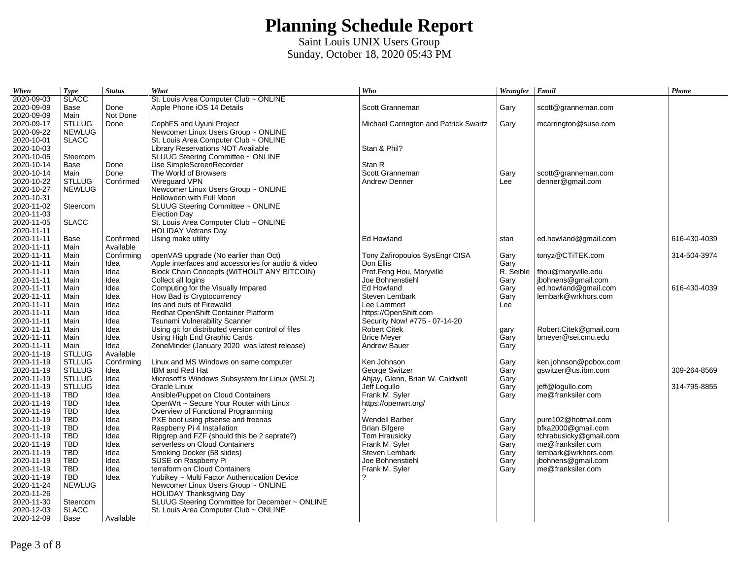| When       | <b>Type</b>   | <b>Status</b> | What                                               | Who                                   | Wrangler Email |                        | Phone        |
|------------|---------------|---------------|----------------------------------------------------|---------------------------------------|----------------|------------------------|--------------|
| 2020-09-03 | <b>SLACC</b>  |               | St. Louis Area Computer Club ~ ONLINE              |                                       |                |                        |              |
| 2020-09-09 | Base          | Done          | Apple Phone iOS 14 Details                         | Scott Granneman                       | Gary           | scott@granneman.com    |              |
| 2020-09-09 | Main          | Not Done      |                                                    |                                       |                |                        |              |
| 2020-09-17 | <b>STLLUG</b> | Done          | CephFS and Uyuni Project                           | Michael Carrington and Patrick Swartz | Gary           | mcarrington@suse.com   |              |
| 2020-09-22 | <b>NEWLUG</b> |               | Newcomer Linux Users Group ~ ONLINE                |                                       |                |                        |              |
| 2020-10-01 | <b>SLACC</b>  |               | St. Louis Area Computer Club ~ ONLINE              |                                       |                |                        |              |
| 2020-10-03 |               |               | Library Reservations NOT Available                 | Stan & Phil?                          |                |                        |              |
| 2020-10-05 | Steercom      |               | SLUUG Steering Committee ~ ONLINE                  |                                       |                |                        |              |
| 2020-10-14 | Base          | Done          | Use SimpleScreenRecorder                           | Stan R                                |                |                        |              |
| 2020-10-14 | Main          | Done          | The World of Browsers                              | Scott Granneman                       | Gary           | scott@granneman.com    |              |
| 2020-10-22 | <b>STLLUG</b> | Confirmed     | <b>Wirequard VPN</b>                               | <b>Andrew Denner</b>                  | Lee            | denner@gmail.com       |              |
| 2020-10-27 | <b>NEWLUG</b> |               | Newcomer Linux Users Group ~ ONLINE                |                                       |                |                        |              |
| 2020-10-31 |               |               | Holloween with Full Moon                           |                                       |                |                        |              |
| 2020-11-02 | Steercom      |               | SLUUG Steering Committee ~ ONLINE                  |                                       |                |                        |              |
| 2020-11-03 |               |               | <b>Election Day</b>                                |                                       |                |                        |              |
| 2020-11-05 | <b>SLACC</b>  |               | St. Louis Area Computer Club ~ ONLINE              |                                       |                |                        |              |
| 2020-11-11 |               |               | <b>HOLIDAY Vetrans Day</b>                         |                                       |                |                        |              |
| 2020-11-11 | Base          | Confirmed     | Using make utility                                 | Ed Howland                            | stan           | ed.howland@gmail.com   | 616-430-4039 |
| 2020-11-11 | Main          | Available     |                                                    |                                       |                |                        |              |
| 2020-11-11 | Main          | Confirming    | openVAS upgrade (No earlier than Oct)              | Tony Zafiropoulos SysEngr CISA        | Gary           | tonyz@CTiTEK.com       | 314-504-3974 |
| 2020-11-11 | Main          | Idea          | Apple interfaces and accessories for audio & video | Don Ellis                             | Gary           |                        |              |
| 2020-11-11 | Main          | Idea          | Block Chain Concepts (WITHOUT ANY BITCOIN)         | Prof.Feng Hou, Maryville              | R. Seible      | fhou@maryville.edu     |              |
| 2020-11-11 | Main          | Idea          | Collect all logins                                 | Joe Bohnenstiehl                      | Gary           | jbohnens@gmail.com     |              |
| 2020-11-11 | Main          | Idea          | Computing for the Visually Impared                 | Ed Howland                            | Gary           | ed.howland@gmail.com   | 616-430-4039 |
| 2020-11-11 | Main          | Idea          | How Bad is Cryptocurrency                          | Steven Lembark                        | Gary           | lembark@wrkhors.com    |              |
| 2020-11-11 | Main          | Idea          | Ins and outs of Firewalld                          | Lee Lammert                           | Lee            |                        |              |
| 2020-11-11 | Main          | Idea          | Redhat OpenShift Container Platform                | https://OpenShift.com                 |                |                        |              |
| 2020-11-11 | Main          | Idea          | Tsunami Vulnerability Scanner                      | Security Now! #775 - 07-14-20         |                |                        |              |
| 2020-11-11 | Main          | Idea          | Using git for distributed version control of files | <b>Robert Citek</b>                   | gary           | Robert.Citek@gmail.com |              |
| 2020-11-11 | Main          | Idea          | Using High End Graphic Cards                       | <b>Brice Meyer</b>                    | Gary           | bmeyer@sei.cmu.edu     |              |
| 2020-11-11 | Main          | Idea          | ZoneMinder (January 2020 was latest release)       | <b>Andrew Bauer</b>                   | Gary           |                        |              |
| 2020-11-19 | <b>STLLUG</b> | Available     |                                                    |                                       |                |                        |              |
| 2020-11-19 | <b>STLLUG</b> | Confirming    | Linux and MS Windows on same computer              | Ken Johnson                           | Gary           | ken.johnson@pobox.com  |              |
| 2020-11-19 | <b>STLLUG</b> | Idea          | IBM and Red Hat                                    | George Switzer                        | Gary           | qswitzer@us.ibm.com    | 309-264-8569 |
| 2020-11-19 | <b>STLLUG</b> | Idea          | Microsoft's Windows Subsystem for Linux (WSL2)     | Ahjay, Glenn, Brian W. Caldwell       | Gary           |                        |              |
| 2020-11-19 | <b>STLLUG</b> | Idea          | Oracle Linux                                       | Jeff Logullo                          | Gary           | jeff@logullo.com       | 314-795-8855 |
| 2020-11-19 | <b>TBD</b>    | Idea          | Ansible/Puppet on Cloud Containers                 | Frank M. Syler                        | Gary           | me@franksiler.com      |              |
| 2020-11-19 | TBD           | Idea          | OpenWrt ~ Secure Your Router with Linux            | https://openwrt.org/                  |                |                        |              |
| 2020-11-19 | TBD           | Idea          | Overview of Functional Programming                 | っ                                     |                |                        |              |
| 2020-11-19 | TBD           | Idea          | PXE boot using pfsense and freenas                 | <b>Wendell Barber</b>                 | Gary           | pure102@hotmail.com    |              |
| 2020-11-19 | <b>TBD</b>    | Idea          | Raspberry Pi 4 Installation                        | <b>Brian Bilgere</b>                  | Gary           | bfka2000@gmail.com     |              |
| 2020-11-19 | TBD           | Idea          | Ripgrep and FZF (should this be 2 seprate?)        | Tom Hrausicky                         | Gary           | tchrabusicky@gmail.com |              |
| 2020-11-19 | TBD           | Idea          | serverless on Cloud Containers                     | Frank M. Syler                        | Gary           | me@franksiler.com      |              |
| 2020-11-19 | <b>TBD</b>    | Idea          | Smoking Docker (58 slides)                         | Steven Lembark                        | Gary           | lembark@wrkhors.com    |              |
| 2020-11-19 | TBD           | Idea          | SUSE on Raspberry Pi                               | Joe Bohnenstiehl                      | Gary           | jbohnens@gmail.com     |              |
| 2020-11-19 | <b>TBD</b>    | Idea          | terraform on Cloud Containers                      | Frank M. Syler                        | Gary           | me@franksiler.com      |              |
| 2020-11-19 | TBD           | Idea          | Yubikey ~ Multi Factor Authentication Device       |                                       |                |                        |              |
| 2020-11-24 | <b>NEWLUG</b> |               | Newcomer Linux Users Group ~ ONLINE                |                                       |                |                        |              |
| 2020-11-26 |               |               | <b>HOLIDAY Thanksgiving Day</b>                    |                                       |                |                        |              |
| 2020-11-30 | Steercom      |               | SLUUG Steering Committee for December ~ ONLINE     |                                       |                |                        |              |
| 2020-12-03 | <b>SLACC</b>  |               | St. Louis Area Computer Club ~ ONLINE              |                                       |                |                        |              |
| 2020-12-09 | Base          | Available     |                                                    |                                       |                |                        |              |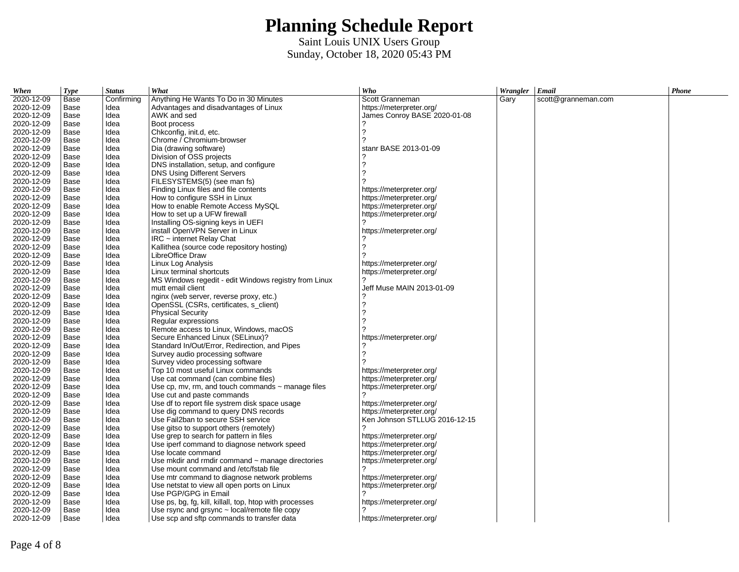| When       | <b>Type</b> | <b>Status</b> | What                                                    | Who                           | Wrangler   Email |                     | Phone |
|------------|-------------|---------------|---------------------------------------------------------|-------------------------------|------------------|---------------------|-------|
| 2020-12-09 | Base        | Confirming    | Anything He Wants To Do in 30 Minutes                   | Scott Granneman               | Gary             | scott@granneman.com |       |
| 2020-12-09 | Base        | Idea          | Advantages and disadvantages of Linux                   | https://meterpreter.org/      |                  |                     |       |
| 2020-12-09 | Base        | Idea          | AWK and sed                                             | James Conroy BASE 2020-01-08  |                  |                     |       |
| 2020-12-09 | Base        | Idea          | Boot process                                            |                               |                  |                     |       |
| 2020-12-09 | Base        | Idea          | Chkconfig, init.d, etc.                                 | 2                             |                  |                     |       |
| 2020-12-09 | Base        | Idea          | Chrome / Chromium-browser                               | 2                             |                  |                     |       |
| 2020-12-09 | Base        | Idea          | Dia (drawing software)                                  | stanr BASE 2013-01-09         |                  |                     |       |
| 2020-12-09 | Base        | Idea          | Division of OSS projects                                |                               |                  |                     |       |
| 2020-12-09 | Base        | Idea          | DNS installation, setup, and configure                  | ?                             |                  |                     |       |
| 2020-12-09 | Base        | Idea          | DNS Using Different Servers                             | っ                             |                  |                     |       |
| 2020-12-09 | Base        | Idea          | FILESYSTEMS(5) (see man fs)                             |                               |                  |                     |       |
| 2020-12-09 | Base        | Idea          | Finding Linux files and file contents                   | https://meterpreter.org/      |                  |                     |       |
| 2020-12-09 | Base        | Idea          | How to configure SSH in Linux                           | https://meterpreter.org/      |                  |                     |       |
| 2020-12-09 | Base        | Idea          | How to enable Remote Access MySOL                       | https://meterpreter.org/      |                  |                     |       |
| 2020-12-09 | Base        | Idea          | How to set up a UFW firewall                            | https://meterpreter.org/      |                  |                     |       |
| 2020-12-09 | Base        | Idea          | Installing OS-signing keys in UEFI                      |                               |                  |                     |       |
| 2020-12-09 | Base        | Idea          | install OpenVPN Server in Linux                         | https://meterpreter.org/      |                  |                     |       |
| 2020-12-09 | Base        | Idea          | $IRC$ ~ internet Relay Chat                             |                               |                  |                     |       |
| 2020-12-09 | Base        | Idea          | Kallithea (source code repository hosting)              |                               |                  |                     |       |
| 2020-12-09 | Base        | Idea          | LibreOffice Draw                                        |                               |                  |                     |       |
| 2020-12-09 | Base        | Idea          | Linux Log Analysis                                      | https://meterpreter.org/      |                  |                     |       |
| 2020-12-09 | Base        | Idea          | Linux terminal shortcuts                                | https://meterpreter.org/      |                  |                     |       |
| 2020-12-09 | Base        | Idea          | MS Windows regedit - edit Windows registry from Linux   | 2                             |                  |                     |       |
| 2020-12-09 | Base        | Idea          | mutt email client                                       | Jeff Muse MAIN 2013-01-09     |                  |                     |       |
| 2020-12-09 | Base        | Idea          | nginx (web server, reverse proxy, etc.)                 |                               |                  |                     |       |
| 2020-12-09 | Base        | Idea          | OpenSSL (CSRs, certificates, s client)                  | ?                             |                  |                     |       |
| 2020-12-09 | Base        | Idea          | <b>Physical Security</b>                                | 2                             |                  |                     |       |
| 2020-12-09 | Base        | Idea          | Regular expressions                                     | 2                             |                  |                     |       |
| 2020-12-09 | Base        | Idea          | Remote access to Linux, Windows, macOS                  |                               |                  |                     |       |
| 2020-12-09 | Base        | Idea          | Secure Enhanced Linux (SELinux)?                        | https://meterpreter.org/      |                  |                     |       |
| 2020-12-09 | Base        | Idea          | Standard In/Out/Error, Redirection, and Pipes           |                               |                  |                     |       |
| 2020-12-09 | Base        | Idea          | Survey audio processing software                        | 2                             |                  |                     |       |
| 2020-12-09 | Base        | Idea          | Survey video processing software                        |                               |                  |                     |       |
| 2020-12-09 | Base        | Idea          | Top 10 most useful Linux commands                       | https://meterpreter.org/      |                  |                     |       |
| 2020-12-09 | Base        | Idea          | Use cat command (can combine files)                     | https://meterpreter.org/      |                  |                     |       |
| 2020-12-09 | Base        | Idea          | Use cp, mv, rm, and touch commands $\sim$ manage files  | https://meterpreter.org/      |                  |                     |       |
| 2020-12-09 | Base        | Idea          | Use cut and paste commands                              |                               |                  |                     |       |
| 2020-12-09 | Base        | Idea          | Use df to report file systrem disk space usage          | https://meterpreter.org/      |                  |                     |       |
| 2020-12-09 | Base        | Idea          | Use dig command to query DNS records                    | https://meterpreter.org/      |                  |                     |       |
| 2020-12-09 | Base        | Idea          | Use Fail2ban to secure SSH service                      | Ken Johnson STLLUG 2016-12-15 |                  |                     |       |
| 2020-12-09 | Base        | Idea          | Use gitso to support others (remotely)                  |                               |                  |                     |       |
| 2020-12-09 | Base        | Idea          | Use grep to search for pattern in files                 | https://meterpreter.org/      |                  |                     |       |
| 2020-12-09 | Base        | Idea          | Use iperf command to diagnose network speed             | https://meterpreter.org/      |                  |                     |       |
| 2020-12-09 | Base        | Idea          | Use locate command                                      | https://meterpreter.org/      |                  |                     |       |
| 2020-12-09 | Base        | Idea          | Use mkdir and rmdir command $\sim$ manage directories   | https://meterpreter.org/      |                  |                     |       |
| 2020-12-09 | Base        | Idea          | Use mount command and /etc/fstab file                   |                               |                  |                     |       |
| 2020-12-09 | Base        | Idea          | Use mtr command to diagnose network problems            | https://meterpreter.org/      |                  |                     |       |
| 2020-12-09 | Base        | Idea          | Use netstat to view all open ports on Linux             | https://meterpreter.org/      |                  |                     |       |
| 2020-12-09 | Base        | Idea          | Use PGP/GPG in Email                                    |                               |                  |                     |       |
| 2020-12-09 | Base        | Idea          | Use ps, bg, fg, kill, killall, top, htop with processes | https://meterpreter.org/      |                  |                     |       |
| 2020-12-09 | Base        | Idea          | Use rsync and grsync $\sim$ local/remote file copy      |                               |                  |                     |       |
| 2020-12-09 | Base        | Idea          | Use scp and sftp commands to transfer data              | https://meterpreter.org/      |                  |                     |       |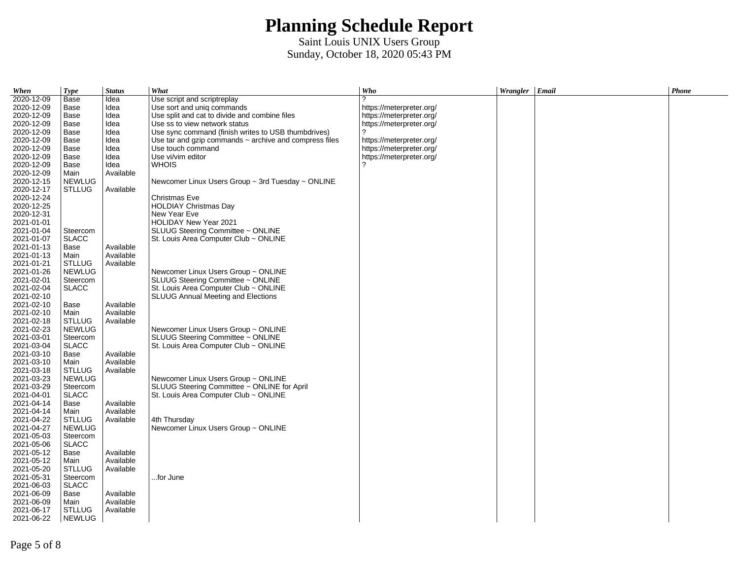| When       | <b>Type</b>                    | <b>Status</b>          | What                                                        | Who                      | Wrangler Email | Phone |
|------------|--------------------------------|------------------------|-------------------------------------------------------------|--------------------------|----------------|-------|
| 2020-12-09 | Base                           | Idea                   | Use script and scriptreplay                                 | 2                        |                |       |
| 2020-12-09 | Base                           | Idea                   | Use sort and unig commands                                  | https://meterpreter.org/ |                |       |
| 2020-12-09 | Base                           | Idea                   | Use split and cat to divide and combine files               | https://meterpreter.org/ |                |       |
| 2020-12-09 | Base                           | Idea                   | Use ss to view network status                               | https://meterpreter.org/ |                |       |
| 2020-12-09 | Base                           | Idea                   | Use sync command (finish writes to USB thumbdrives)         | っ                        |                |       |
| 2020-12-09 | Base                           | Idea                   | Use tar and gzip commands $\sim$ archive and compress files | https://meterpreter.org/ |                |       |
| 2020-12-09 | Base                           | Idea                   | Use touch command                                           | https://meterpreter.org/ |                |       |
| 2020-12-09 | Base                           | Idea                   | Use vi/vim editor                                           | https://meterpreter.org/ |                |       |
| 2020-12-09 | Base                           | Idea                   | <b>WHOIS</b>                                                | 2                        |                |       |
| 2020-12-09 | Main                           | Available              |                                                             |                          |                |       |
| 2020-12-15 | <b>NEWLUG</b>                  |                        | Newcomer Linux Users Group $\sim$ 3rd Tuesday $\sim$ ONLINE |                          |                |       |
| 2020-12-17 | <b>STLLUG</b>                  | Available              |                                                             |                          |                |       |
| 2020-12-24 |                                |                        | Christmas Eve                                               |                          |                |       |
| 2020-12-25 |                                |                        | <b>HOLDIAY Christmas Day</b>                                |                          |                |       |
| 2020-12-31 |                                |                        | New Year Eve                                                |                          |                |       |
| 2021-01-01 |                                |                        | HOLIDAY New Year 2021                                       |                          |                |       |
| 2021-01-04 | Steercom                       |                        | SLUUG Steering Committee ~ ONLINE                           |                          |                |       |
| 2021-01-07 | <b>SLACC</b>                   |                        | St. Louis Area Computer Club $\sim$ ONLINE                  |                          |                |       |
| 2021-01-13 | Base                           | Available              |                                                             |                          |                |       |
| 2021-01-13 |                                |                        |                                                             |                          |                |       |
| 2021-01-21 | Main                           | Available<br>Available |                                                             |                          |                |       |
| 2021-01-26 | <b>STLLUG</b><br><b>NEWLUG</b> |                        |                                                             |                          |                |       |
|            |                                |                        | Newcomer Linux Users Group ~ ONLINE                         |                          |                |       |
| 2021-02-01 | Steercom                       |                        | SLUUG Steering Committee ~ ONLINE                           |                          |                |       |
| 2021-02-04 | <b>SLACC</b>                   |                        | St. Louis Area Computer Club ~ ONLINE                       |                          |                |       |
| 2021-02-10 |                                |                        | <b>SLUUG Annual Meeting and Elections</b>                   |                          |                |       |
| 2021-02-10 | Base                           | Available              |                                                             |                          |                |       |
| 2021-02-10 | Main                           | Available              |                                                             |                          |                |       |
| 2021-02-18 | <b>STLLUG</b>                  | Available              |                                                             |                          |                |       |
| 2021-02-23 | <b>NEWLUG</b>                  |                        | Newcomer Linux Users Group ~ ONLINE                         |                          |                |       |
| 2021-03-01 | Steercom                       |                        | SLUUG Steering Committee ~ ONLINE                           |                          |                |       |
| 2021-03-04 | <b>SLACC</b>                   |                        | St. Louis Area Computer Club $\sim$ ONLINE                  |                          |                |       |
| 2021-03-10 | Base                           | Available              |                                                             |                          |                |       |
| 2021-03-10 | Main                           | Available              |                                                             |                          |                |       |
| 2021-03-18 | <b>STLLUG</b>                  | Available              |                                                             |                          |                |       |
| 2021-03-23 | <b>NEWLUG</b>                  |                        | Newcomer Linux Users Group ~ ONLINE                         |                          |                |       |
| 2021-03-29 | Steercom                       |                        | SLUUG Steering Committee ~ ONLINE for April                 |                          |                |       |
| 2021-04-01 | <b>SLACC</b>                   |                        | St. Louis Area Computer Club $\sim$ ONLINE                  |                          |                |       |
| 2021-04-14 | Base                           | Available              |                                                             |                          |                |       |
| 2021-04-14 | Main                           | Available              |                                                             |                          |                |       |
| 2021-04-22 | <b>STLLUG</b>                  | Available              | 4th Thursday                                                |                          |                |       |
| 2021-04-27 | <b>NEWLUG</b>                  |                        | Newcomer Linux Users Group ~ ONLINE                         |                          |                |       |
| 2021-05-03 | Steercom                       |                        |                                                             |                          |                |       |
| 2021-05-06 | <b>SLACC</b>                   |                        |                                                             |                          |                |       |
| 2021-05-12 | Base                           | Available              |                                                             |                          |                |       |
| 2021-05-12 | Main                           | Available              |                                                             |                          |                |       |
| 2021-05-20 | <b>STLLUG</b>                  | Available              |                                                             |                          |                |       |
| 2021-05-31 | Steercom                       |                        | for June                                                    |                          |                |       |
| 2021-06-03 | <b>SLACC</b>                   |                        |                                                             |                          |                |       |
| 2021-06-09 | Base                           | Available              |                                                             |                          |                |       |
| 2021-06-09 | Main                           | Available              |                                                             |                          |                |       |
| 2021-06-17 | <b>STLLUG</b>                  | Available              |                                                             |                          |                |       |
| 2021-06-22 | <b>NEWLUG</b>                  |                        |                                                             |                          |                |       |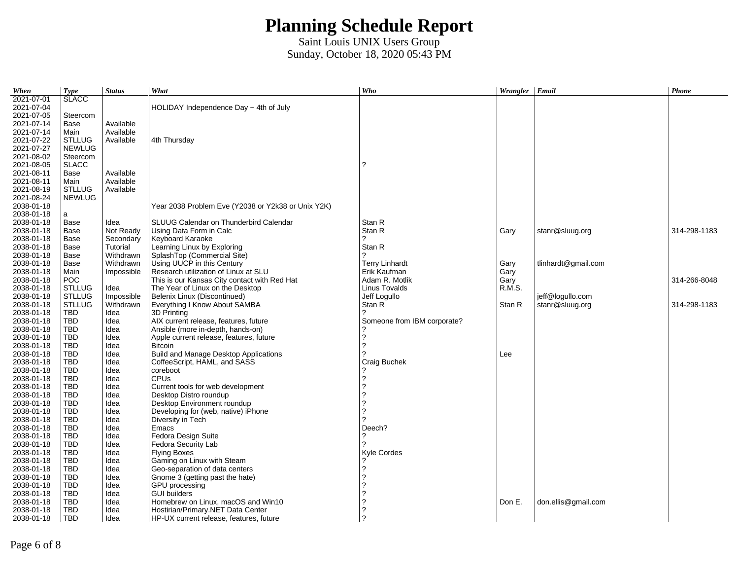| When                     | <b>Type</b>              | <b>Status</b> | What                                                        | Who                         | Wrangler Email |                     | Phone        |
|--------------------------|--------------------------|---------------|-------------------------------------------------------------|-----------------------------|----------------|---------------------|--------------|
| 2021-07-01               | <b>SLACC</b>             |               |                                                             |                             |                |                     |              |
| 2021-07-04               |                          |               | HOLIDAY Independence Day $\sim$ 4th of July                 |                             |                |                     |              |
| 2021-07-05               | Steercom                 |               |                                                             |                             |                |                     |              |
| 2021-07-14               | Base                     | Available     |                                                             |                             |                |                     |              |
| 2021-07-14               | Main                     | Available     |                                                             |                             |                |                     |              |
| 2021-07-22               | <b>STLLUG</b>            | Available     | 4th Thursday                                                |                             |                |                     |              |
| 2021-07-27               | <b>NEWLUG</b>            |               |                                                             |                             |                |                     |              |
| 2021-08-02               | Steercom                 |               |                                                             |                             |                |                     |              |
| 2021-08-05               | <b>SLACC</b>             |               |                                                             | 2                           |                |                     |              |
| 2021-08-11               | Base                     | Available     |                                                             |                             |                |                     |              |
| 2021-08-11               | Main                     | Available     |                                                             |                             |                |                     |              |
| 2021-08-19               | <b>STLLUG</b>            | Available     |                                                             |                             |                |                     |              |
| 2021-08-24               | <b>NEWLUG</b>            |               |                                                             |                             |                |                     |              |
| 2038-01-18               |                          |               | Year 2038 Problem Eve (Y2038 or Y2k38 or Unix Y2K)          |                             |                |                     |              |
| 2038-01-18               | a                        |               |                                                             |                             |                |                     |              |
| 2038-01-18               | Base                     | Idea          | SLUUG Calendar on Thunderbird Calendar                      | Stan R                      |                |                     |              |
| 2038-01-18               | Base                     | Not Ready     | Using Data Form in Calc                                     | Stan R                      | Gary           | stanr@sluug.org     | 314-298-1183 |
| 2038-01-18               | Base                     | Secondary     | Keyboard Karaoke                                            | 2                           |                |                     |              |
| 2038-01-18               | Base                     | Tutorial      | Learning Linux by Exploring                                 | Stan R                      |                |                     |              |
| 2038-01-18               | Base                     | Withdrawn     | SplashTop (Commercial Site)                                 |                             |                |                     |              |
| 2038-01-18               | Base                     | Withdrawn     | Using UUCP in this Century                                  | <b>Terry Linhardt</b>       | Gary           | tlinhardt@gmail.com |              |
| 2038-01-18               | Main                     | Impossible    | Research utilization of Linux at SLU                        | Erik Kaufman                | Gary           |                     |              |
| 2038-01-18               | <b>POC</b>               |               | This is our Kansas City contact with Red Hat                | Adam R. Motlik              | Gary           |                     | 314-266-8048 |
| 2038-01-18               | <b>STLLUG</b>            | Idea          | The Year of Linux on the Desktop                            | Linus Tovalds               | R.M.S.         |                     |              |
| 2038-01-18               | <b>STLLUG</b>            | Impossible    | Belenix Linux (Discontinued)                                | Jeff Logullo                |                | jeff@loqullo.com    |              |
| 2038-01-18               | <b>STLLUG</b>            | Withdrawn     | Everything I Know About SAMBA                               | Stan R                      | Stan R         | stanr@sluug.org     | 314-298-1183 |
| 2038-01-18               | <b>TBD</b>               | Idea          | 3D Printing                                                 |                             |                |                     |              |
| 2038-01-18               | <b>TBD</b>               | Idea          | AIX current release, features, future                       | Someone from IBM corporate? |                |                     |              |
| 2038-01-18               | <b>TBD</b>               | Idea          | Ansible (more in-depth, hands-on)                           |                             |                |                     |              |
| 2038-01-18               | <b>TBD</b>               | Idea          | Apple current release, features, future                     | 2                           |                |                     |              |
| 2038-01-18               | <b>TBD</b>               | Idea          | <b>Bitcoin</b>                                              | 2                           |                |                     |              |
| 2038-01-18               | <b>TBD</b>               | Idea          | Build and Manage Desktop Applications                       |                             | Lee            |                     |              |
| 2038-01-18               | <b>TBD</b>               | Idea          | CoffeeScript, HAML, and SASS                                | Craig Buchek                |                |                     |              |
| 2038-01-18               | <b>TBD</b>               | Idea          | coreboot                                                    |                             |                |                     |              |
| 2038-01-18               | <b>TBD</b>               | Idea          | <b>CPUs</b>                                                 | っ                           |                |                     |              |
| 2038-01-18               | <b>TBD</b>               |               |                                                             |                             |                |                     |              |
| 2038-01-18               | <b>TBD</b>               | Idea<br>Idea  | Current tools for web development<br>Desktop Distro roundup |                             |                |                     |              |
|                          | <b>TBD</b>               | Idea          |                                                             | 2                           |                |                     |              |
| 2038-01-18<br>2038-01-18 | TBD                      | Idea          | Desktop Environment roundup                                 | 2                           |                |                     |              |
| 2038-01-18               |                          |               | Developing for (web, native) iPhone                         | っ                           |                |                     |              |
| 2038-01-18               | <b>TBD</b><br><b>TBD</b> | Idea          | Diversity in Tech<br>Emacs                                  | Deech?                      |                |                     |              |
|                          |                          | Idea          |                                                             | 2                           |                |                     |              |
| 2038-01-18               | <b>TBD</b>               | Idea          | Fedora Design Suite                                         | 2                           |                |                     |              |
| 2038-01-18               | <b>TBD</b>               | Idea          | Fedora Security Lab                                         |                             |                |                     |              |
| 2038-01-18               | <b>TBD</b>               | Idea          | <b>Flying Boxes</b>                                         | Kyle Cordes                 |                |                     |              |
| 2038-01-18               | <b>TBD</b>               | Idea          | Gaming on Linux with Steam                                  | 2                           |                |                     |              |
| 2038-01-18               | <b>TBD</b>               | Idea          | Geo-separation of data centers                              |                             |                |                     |              |
| 2038-01-18               | <b>TBD</b>               | Idea          | Gnome 3 (getting past the hate)                             | 2                           |                |                     |              |
| 2038-01-18               | <b>TBD</b>               | Idea          | GPU processing                                              |                             |                |                     |              |
| 2038-01-18               | TBD                      | Idea          | <b>GUI builders</b>                                         | 2                           |                |                     |              |
| 2038-01-18               | <b>TBD</b>               | Idea          | Homebrew on Linux, macOS and Win10                          | 2                           | Don E.         | don.ellis@gmail.com |              |
| 2038-01-18               | <b>TBD</b>               | Idea          | Hostirian/Primary.NET Data Center                           | 2                           |                |                     |              |
| 2038-01-18               | <b>TBD</b>               | Idea          | HP-UX current release, features, future                     | 2                           |                |                     |              |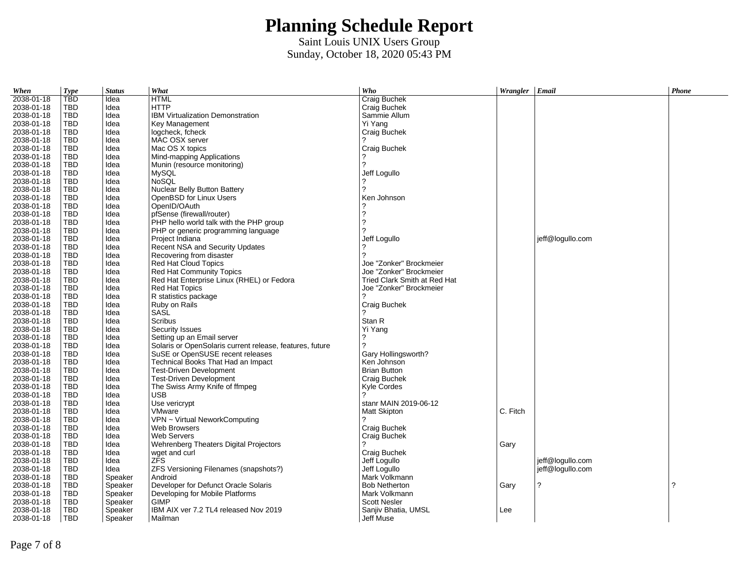| When       | <b>Type</b> | <b>Status</b> | What                                                     | Who                          | Wrangler | Email            | Phone |
|------------|-------------|---------------|----------------------------------------------------------|------------------------------|----------|------------------|-------|
| 2038-01-18 | <b>TBD</b>  | Idea          | <b>HTML</b>                                              | Craig Buchek                 |          |                  |       |
| 2038-01-18 | <b>TBD</b>  | Idea          | <b>HTTP</b>                                              | Craig Buchek                 |          |                  |       |
| 2038-01-18 | <b>TBD</b>  | Idea          | <b>IBM Virtualization Demonstration</b>                  | Sammie Allum                 |          |                  |       |
| 2038-01-18 | <b>TBD</b>  | Idea          | Key Management                                           | Yi Yang                      |          |                  |       |
| 2038-01-18 | <b>TBD</b>  | Idea          | logcheck, fcheck                                         | Craig Buchek                 |          |                  |       |
| 2038-01-18 | <b>TBD</b>  | Idea          | MAC OSX server                                           |                              |          |                  |       |
| 2038-01-18 | TBD         | Idea          | Mac OS X topics                                          | Craig Buchek                 |          |                  |       |
| 2038-01-18 | <b>TBD</b>  | Idea          | Mind-mapping Applications                                |                              |          |                  |       |
| 2038-01-18 | <b>TBD</b>  | Idea          | Munin (resource monitoring)                              | 2                            |          |                  |       |
| 2038-01-18 | <b>TBD</b>  | Idea          | <b>MySOL</b>                                             | Jeff Logullo                 |          |                  |       |
| 2038-01-18 | TBD         | Idea          | <b>NoSOL</b>                                             |                              |          |                  |       |
| 2038-01-18 | <b>TBD</b>  | Idea          | Nuclear Belly Button Battery                             |                              |          |                  |       |
| 2038-01-18 | <b>TBD</b>  | Idea          | OpenBSD for Linux Users                                  | Ken Johnson                  |          |                  |       |
| 2038-01-18 | <b>TBD</b>  | Idea          | OpenID/OAuth                                             |                              |          |                  |       |
| 2038-01-18 | <b>TBD</b>  | Idea          | pfSense (firewall/router)                                | 2                            |          |                  |       |
| 2038-01-18 | <b>TBD</b>  | Idea          | PHP hello world talk with the PHP group                  | 2                            |          |                  |       |
| 2038-01-18 | <b>TBD</b>  | Idea          | PHP or generic programming language                      | 2                            |          |                  |       |
| 2038-01-18 | <b>TBD</b>  | Idea          | Project Indiana                                          | Jeff Logullo                 |          | jeff@logullo.com |       |
| 2038-01-18 | <b>TBD</b>  | Idea          | Recent NSA and Security Updates                          |                              |          |                  |       |
| 2038-01-18 | <b>TBD</b>  | Idea          | Recovering from disaster                                 | 2                            |          |                  |       |
| 2038-01-18 | <b>TBD</b>  | Idea          | <b>Red Hat Cloud Topics</b>                              | Joe "Zonker" Brockmeier      |          |                  |       |
| 2038-01-18 | TBD         | Idea          | Red Hat Community Topics                                 | Joe "Zonker" Brockmeier      |          |                  |       |
| 2038-01-18 | <b>TBD</b>  | Idea          | Red Hat Enterprise Linux (RHEL) or Fedora                | Tried Clark Smith at Red Hat |          |                  |       |
| 2038-01-18 | <b>TBD</b>  | Idea          | <b>Red Hat Topics</b>                                    | Joe "Zonker" Brockmeier      |          |                  |       |
| 2038-01-18 | <b>TBD</b>  | Idea          | R statistics package                                     |                              |          |                  |       |
| 2038-01-18 | <b>TBD</b>  | Idea          | Ruby on Rails                                            | Craig Buchek                 |          |                  |       |
| 2038-01-18 | TBD         | Idea          | SASL                                                     |                              |          |                  |       |
| 2038-01-18 | <b>TBD</b>  | Idea          | Scribus                                                  | Stan R                       |          |                  |       |
| 2038-01-18 | <b>TBD</b>  | Idea          | <b>Security Issues</b>                                   | Yi Yang                      |          |                  |       |
| 2038-01-18 | <b>TBD</b>  | Idea          | Setting up an Email server                               |                              |          |                  |       |
| 2038-01-18 | <b>TBD</b>  | Idea          | Solaris or OpenSolaris current release, features, future | 2                            |          |                  |       |
| 2038-01-18 | <b>TBD</b>  | Idea          | SuSE or OpenSUSE recent releases                         | Gary Hollingsworth?          |          |                  |       |
| 2038-01-18 | <b>TBD</b>  | Idea          | Technical Books That Had an Impact                       | Ken Johnson                  |          |                  |       |
| 2038-01-18 | <b>TBD</b>  | Idea          | <b>Test-Driven Development</b>                           | <b>Brian Button</b>          |          |                  |       |
| 2038-01-18 | <b>TBD</b>  | Idea          | <b>Test-Driven Development</b>                           | Craig Buchek                 |          |                  |       |
| 2038-01-18 | <b>TBD</b>  | Idea          | The Swiss Army Knife of ffmpeg                           | Kyle Cordes                  |          |                  |       |
| 2038-01-18 | <b>TBD</b>  | Idea          | <b>USB</b>                                               |                              |          |                  |       |
| 2038-01-18 | TBD         | Idea          | Use vericrypt                                            | stanr MAIN 2019-06-12        |          |                  |       |
| 2038-01-18 | <b>TBD</b>  | Idea          | VMware                                                   | <b>Matt Skipton</b>          | C. Fitch |                  |       |
| 2038-01-18 | <b>TBD</b>  | Idea          | VPN ~ Virtual NeworkComputing                            |                              |          |                  |       |
| 2038-01-18 | TBD         | Idea          | Web Browsers                                             | Craig Buchek                 |          |                  |       |
| 2038-01-18 | <b>TBD</b>  | Idea          | Web Servers                                              | Craig Buchek                 |          |                  |       |
| 2038-01-18 | <b>TBD</b>  | Idea          | Wehrenberg Theaters Digital Projectors                   |                              | Gary     |                  |       |
| 2038-01-18 | <b>TBD</b>  | Idea          | wget and curl                                            | Craig Buchek                 |          |                  |       |
| 2038-01-18 | <b>TBD</b>  | Idea          | ZFS                                                      | Jeff Logullo                 |          | jeff@logullo.com |       |
| 2038-01-18 | <b>TBD</b>  | Idea          | ZFS Versioning Filenames (snapshots?)                    | Jeff Logullo                 |          | jeff@logullo.com |       |
| 2038-01-18 | <b>TBD</b>  | Speaker       | Android                                                  | Mark Volkmann                |          |                  |       |
| 2038-01-18 | <b>TBD</b>  | Speaker       | Developer for Defunct Oracle Solaris                     | <b>Bob Netherton</b>         | Gary     | ?                | 2     |
| 2038-01-18 | TBD         | Speaker       | Developing for Mobile Platforms                          | Mark Volkmann                |          |                  |       |
| 2038-01-18 | <b>TBD</b>  | Speaker       | <b>GIMP</b>                                              | <b>Scott Nesler</b>          |          |                  |       |
| 2038-01-18 | <b>TBD</b>  | Speaker       | IBM AIX ver 7.2 TL4 released Nov 2019                    | Sanjiv Bhatia, UMSL          | Lee      |                  |       |
| 2038-01-18 | <b>TBD</b>  | Speaker       | Mailman                                                  | Jeff Muse                    |          |                  |       |